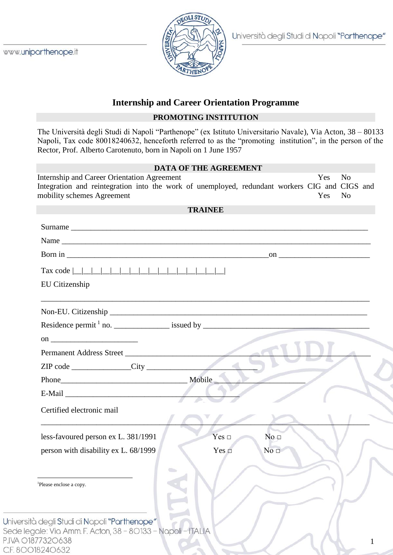

# **Internship and Career Orientation Programme**

### **PROMOTING INSTITUTION**

The Università degli Studi di Napoli "Parthenope" (ex Istituto Universitario Navale), Via Acton, 38 – 80133 Napoli, Tax code 80018240632, henceforth referred to as the "promoting institution", in the person of the Rector, Prof. Alberto Carotenuto, born in Napoli on 1 June 1957

# **DATA OF THE AGREEMENT**

|                                      | <b>TRAINEE</b>                   |
|--------------------------------------|----------------------------------|
|                                      |                                  |
|                                      | Name                             |
|                                      |                                  |
|                                      |                                  |
| EU Citizenship                       |                                  |
|                                      |                                  |
|                                      |                                  |
| on $\overline{\phantom{a}}$          |                                  |
| Permanent Address Street             |                                  |
|                                      |                                  |
|                                      |                                  |
| $E-Mail$                             |                                  |
| Certified electronic mail            |                                  |
| less-favoured person ex L. 381/1991  | Yes $\Box$<br>No <sub>□</sub>    |
| person with disability ex L. 68/1999 | Yes $\square$<br>No <sub>1</sub> |
| <sup>1</sup> Please enclose a copy.  | $\rightarrow$                    |

Sede legale: Via Amm. F. Acton, 38 - 80133 - Napoli - ITALIA

P.IVA 01877320638 C.F. 80018240632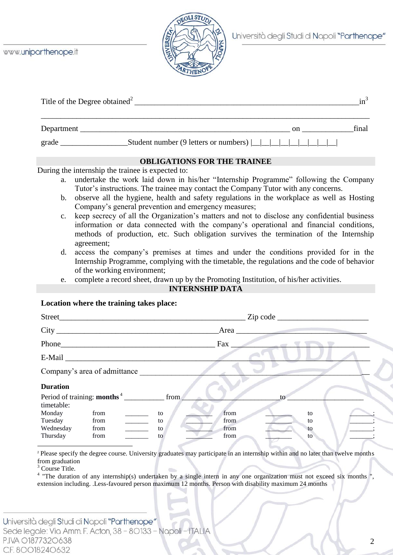Università degli Studi di Napoli "Parthenope

www.uniparthenope.it



| Title of the Degree obtained <sup>2</sup> |                                                                                                                                                                                                                                                                                                                                                                                                                                                                                                                                                 | 1n    |
|-------------------------------------------|-------------------------------------------------------------------------------------------------------------------------------------------------------------------------------------------------------------------------------------------------------------------------------------------------------------------------------------------------------------------------------------------------------------------------------------------------------------------------------------------------------------------------------------------------|-------|
| Department                                | on                                                                                                                                                                                                                                                                                                                                                                                                                                                                                                                                              | final |
| grade                                     | Student number (9 letters or numbers) $\boxed{\underline{\hspace{1cm}}\underline{\hspace{1cm}}\underline{\hspace{1cm}}\underline{\hspace{1cm}}\underline{\hspace{1cm}}\underline{\hspace{1cm}}\underline{\hspace{1cm}}\underline{\hspace{1cm}}\underline{\hspace{1cm}}\underline{\hspace{1cm}}\underline{\hspace{1cm}}\underline{\hspace{1cm}}\underline{\hspace{1cm}}\underline{\hspace{1cm}}\underline{\hspace{1cm}}\underline{\hspace{1cm}}\underline{\hspace{1cm}}\underline{\hspace{1cm}}\underline{\hspace{1cm}}\underline{\hspace{1cm}}$ |       |

### **OBLIGATIONS FOR THE TRAINEE**

During the internship the trainee is expected to:

- a. undertake the work laid down in his/her "Internship Programme" following the Company Tutor's instructions. The trainee may contact the Company Tutor with any concerns.
- b. observe all the hygiene, health and safety regulations in the workplace as well as Hosting Company's general prevention and emergency measures;
- c. keep secrecy of all the Organization's matters and not to disclose any confidential business information or data connected with the company's operational and financial conditions, methods of production, etc. Such obligation survives the termination of the Internship agreement;
- d. access the company's premises at times and under the conditions provided for in the Internship Programme, complying with the timetable, the regulations and the code of behavior of the working environment;
- e. complete a record sheet, drawn up by the Promoting Institution, of his/her activities.

**INTERNSHIP DATA** 

### **Location where the training takes place:**

| Street_         |                                                                                                                                                                                                                                |                                                            |      |     |  |  |
|-----------------|--------------------------------------------------------------------------------------------------------------------------------------------------------------------------------------------------------------------------------|------------------------------------------------------------|------|-----|--|--|
| $City_$         | <u> 1980 - Andrea Andrewski, fransk politik (d. 1980)</u>                                                                                                                                                                      |                                                            | Area |     |  |  |
|                 | Phone <b>Phone</b>                                                                                                                                                                                                             |                                                            | Fax  |     |  |  |
|                 | E-Mail Santa Communication of the Communication of the Communication of the Communication of the Communication of the Communication of the Communication of the Communication of the Communication of the Communication of the |                                                            |      |     |  |  |
|                 | Company's area of admittance                                                                                                                                                                                                   |                                                            |      |     |  |  |
| <b>Duration</b> |                                                                                                                                                                                                                                |                                                            |      |     |  |  |
|                 |                                                                                                                                                                                                                                | Period of training: $\text{months}^4$ _______________ from |      | to. |  |  |
| timetable:      |                                                                                                                                                                                                                                |                                                            |      |     |  |  |
| Monday          | from                                                                                                                                                                                                                           | to                                                         | from | to  |  |  |
| Tuesday         | from                                                                                                                                                                                                                           | to                                                         | from | to  |  |  |
| Wednesday       | from                                                                                                                                                                                                                           | to                                                         | from | to  |  |  |
| Thursday        | from                                                                                                                                                                                                                           | to                                                         | from | to  |  |  |
|                 |                                                                                                                                                                                                                                |                                                            |      |     |  |  |

<sup>2</sup> Please specify the degree course. University graduates may participate in an internship within and no later than twelve months from graduation

Course Title.

 $4$  "The duration of any internship(s) undertaken by a single intern in any one organization must not exceed six months ", extension including. .Less-favoured person maximum 12 months. Person with disability maximum 24 months

| Università degli Studi di Napoli "Parthenope"                |  |
|--------------------------------------------------------------|--|
| Sede legale: Via Amm. F. Acton, 38 - 80133 - Napoli - ITALIA |  |
| P.IVA 01877320638                                            |  |
| C.F. 80018240632                                             |  |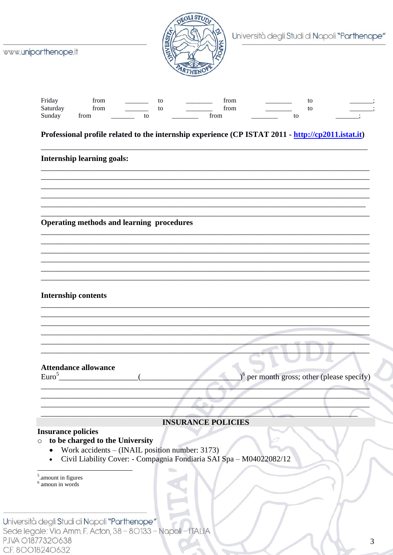e"

| www.uniparthenope.it                                  |                                                                                                                                                          |    | NIVERSIT |                           |              | Università degli Studi di Napoli "Parthenop  |                |  |
|-------------------------------------------------------|----------------------------------------------------------------------------------------------------------------------------------------------------------|----|----------|---------------------------|--------------|----------------------------------------------|----------------|--|
| Friday<br>Saturday<br>Sunday                          | from<br>from<br>from                                                                                                                                     | to | to<br>to | from                      | from<br>from |                                              | to<br>to<br>to |  |
|                                                       | Professional profile related to the internship experience (CP ISTAT 2011 - http://cp2011.istat.it)                                                       |    |          |                           |              |                                              |                |  |
|                                                       | <b>Internship learning goals:</b>                                                                                                                        |    |          |                           |              |                                              |                |  |
|                                                       |                                                                                                                                                          |    |          |                           |              |                                              |                |  |
|                                                       |                                                                                                                                                          |    |          |                           |              |                                              |                |  |
|                                                       | <b>Operating methods and learning procedures</b>                                                                                                         |    |          |                           |              |                                              |                |  |
|                                                       |                                                                                                                                                          |    |          |                           |              |                                              |                |  |
|                                                       |                                                                                                                                                          |    |          |                           |              |                                              |                |  |
|                                                       |                                                                                                                                                          |    |          |                           |              |                                              |                |  |
|                                                       |                                                                                                                                                          |    |          |                           |              |                                              |                |  |
|                                                       | <b>Internship contents</b>                                                                                                                               |    |          |                           |              |                                              |                |  |
|                                                       |                                                                                                                                                          |    |          |                           |              |                                              |                |  |
|                                                       |                                                                                                                                                          |    |          |                           |              |                                              |                |  |
|                                                       | <b>Attendance allowance</b><br>Euro <sup>5</sup>                                                                                                         |    |          |                           |              | $06$ per month gross; other (please specify) |                |  |
|                                                       |                                                                                                                                                          |    |          |                           |              |                                              |                |  |
|                                                       |                                                                                                                                                          |    |          |                           |              |                                              |                |  |
|                                                       |                                                                                                                                                          |    |          | <b>INSURANCE POLICIES</b> |              |                                              |                |  |
| <b>Insurance policies</b><br>$\circ$<br>$\bullet$     | to be charged to the University<br>Work accidents - (INAIL position number: 3173)<br>Civil Liability Cover: - Compagnia Fondiaria SAI Spa - M04022082/12 |    |          |                           |              |                                              |                |  |
| <sup>5</sup> .amount in figures<br>$6$ amoun in words |                                                                                                                                                          |    |          |                           |              |                                              |                |  |

Uni Sede legale: Via Amm. F. Acton, 38<br>P.IVA 01877320638 133 **INCIL** UI  $\mathbf{1}$ C.F. 80018240632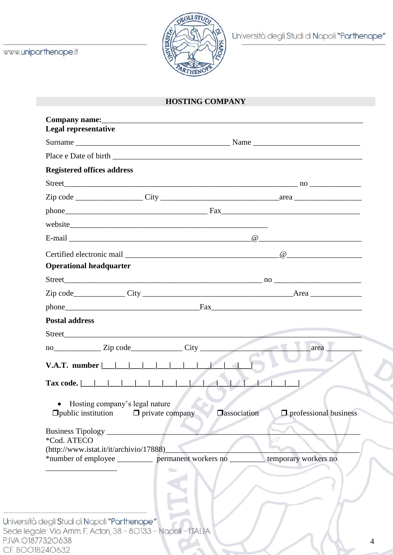

# **HOSTING COMPANY**

| <b>Registered offices address</b>                                                                               |                              |
|-----------------------------------------------------------------------------------------------------------------|------------------------------|
|                                                                                                                 |                              |
|                                                                                                                 |                              |
|                                                                                                                 |                              |
|                                                                                                                 |                              |
|                                                                                                                 |                              |
| website                                                                                                         |                              |
|                                                                                                                 |                              |
|                                                                                                                 |                              |
| <b>Operational headquarter</b>                                                                                  |                              |
|                                                                                                                 |                              |
|                                                                                                                 |                              |
|                                                                                                                 |                              |
| <b>Postal address</b>                                                                                           |                              |
|                                                                                                                 |                              |
| $\text{no}$ $\text{Zip code}$ $\text{City}$ $\text{City}$                                                       | area                         |
|                                                                                                                 |                              |
|                                                                                                                 |                              |
| • Hosting company's legal nature<br>$\Box$ public institution<br>$\Box$ private company<br><b>O</b> association | $\Box$ professional business |
| Business Tipology_                                                                                              |                              |
| *Cod. ATECO<br>(http://www.istat.it/it/archivio/17888)                                                          |                              |
| *number of employee ____________ permanent workers no ______                                                    | temporary workers no         |

P.IVA 01877320638 C.F. 80018240632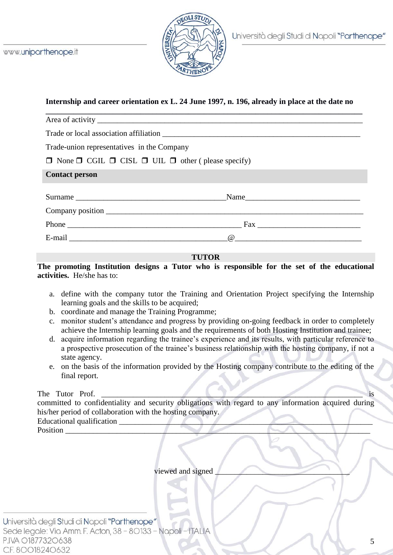

#### **Internship and career orientation ex L. 24 June 1997, n. 196, already in place at the date no**

| Trade-union representatives in the Company                                    |                                                                                                                                                                                                                                                                                                                                                                                      |  |
|-------------------------------------------------------------------------------|--------------------------------------------------------------------------------------------------------------------------------------------------------------------------------------------------------------------------------------------------------------------------------------------------------------------------------------------------------------------------------------|--|
| $\Box$ None $\Box$ CGIL $\Box$ CISL $\Box$ UIL $\Box$ other ( please specify) |                                                                                                                                                                                                                                                                                                                                                                                      |  |
| <b>Contact person</b>                                                         |                                                                                                                                                                                                                                                                                                                                                                                      |  |
|                                                                               |                                                                                                                                                                                                                                                                                                                                                                                      |  |
|                                                                               |                                                                                                                                                                                                                                                                                                                                                                                      |  |
|                                                                               |                                                                                                                                                                                                                                                                                                                                                                                      |  |
|                                                                               | $\overline{a}$ $\overline{a}$ $\overline{a}$ $\overline{a}$ $\overline{a}$ $\overline{a}$ $\overline{a}$ $\overline{a}$ $\overline{a}$ $\overline{a}$ $\overline{a}$ $\overline{a}$ $\overline{a}$ $\overline{a}$ $\overline{a}$ $\overline{a}$ $\overline{a}$ $\overline{a}$ $\overline{a}$ $\overline{a}$ $\overline{a}$ $\overline{a}$ $\overline{a}$ $\overline{a}$ $\overline{$ |  |

#### **TUTOR**

**The promoting Institution designs a Tutor who is responsible for the set of the educational activities.** He/she has to:

- a. define with the company tutor the Training and Orientation Project specifying the Internship learning goals and the skills to be acquired;
- b. coordinate and manage the Training Programme;
- c. monitor student's attendance and progress by providing on-going feedback in order to completely achieve the Internship learning goals and the requirements of both Hosting Institution and trainee;
- d. acquire information regarding the trainee's experience and its results, with particular reference to a prospective prosecution of the trainee's business relationship with the hosting company, if not a state agency.
- e. on the basis of the information provided by the Hosting company contribute to the editing of the final report.

The Tutor Prof. \_\_\_\_\_\_\_\_\_\_\_\_\_\_\_\_\_\_\_\_\_\_\_\_\_\_\_\_\_\_\_\_\_\_\_\_\_\_\_\_\_\_\_\_\_\_\_\_\_\_\_\_\_\_\_\_\_\_\_\_\_\_\_\_\_\_ is

committed to confidentiality and security obligations with regard to any information acquired during his/her period of collaboration with the hosting company. Educational qualification Position \_\_\_\_\_\_\_\_\_\_\_\_\_\_\_\_\_\_\_\_\_\_\_\_\_\_\_\_\_\_\_\_\_\_\_\_\_\_\_\_\_\_\_\_\_\_\_\_\_\_\_\_\_\_\_\_\_\_\_\_\_\_\_\_\_\_\_\_\_\_\_\_\_\_\_\_\_

viewed and signed